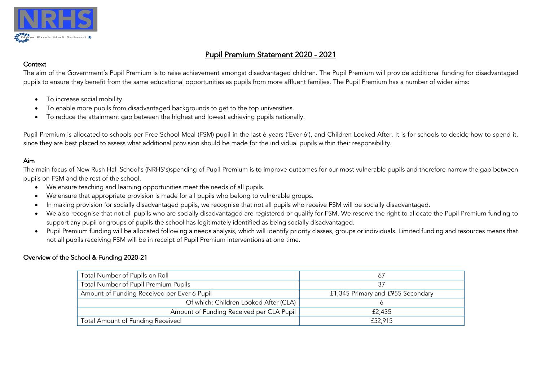

# Pupil Premium Statement 2020 - 2021

### **Context**

The aim of the Government's Pupil Premium is to raise achievement amongst disadvantaged children. The Pupil Premium will provide additional funding for disadvantaged pupils to ensure they benefit from the same educational opportunities as pupils from more affluent families. The Pupil Premium has a number of wider aims:

- To increase social mobility.
- To enable more pupils from disadvantaged backgrounds to get to the top universities.
- To reduce the attainment gap between the highest and lowest achieving pupils nationally.

Pupil Premium is allocated to schools per Free School Meal (FSM) pupil in the last 6 years ('Ever 6'), and Children Looked After. It is for schools to decide how to spend it, since they are best placed to assess what additional provision should be made for the individual pupils within their responsibility.

## Aim

The main focus of New Rush Hall School's (NRHS's)spending of Pupil Premium is to improve outcomes for our most vulnerable pupils and therefore narrow the gap between pupils on FSM and the rest of the school.

- We ensure teaching and learning opportunities meet the needs of all pupils.
- We ensure that appropriate provision is made for all pupils who belong to vulnerable groups.
- In making provision for socially disadvantaged pupils, we recognise that not all pupils who receive FSM will be socially disadvantaged.
- We also recognise that not all pupils who are socially disadvantaged are registered or qualify for FSM. We reserve the right to allocate the Pupil Premium funding to support any pupil or groups of pupils the school has legitimately identified as being socially disadvantaged.
- Pupil Premium funding will be allocated following a needs analysis, which will identify priority classes, groups or individuals. Limited funding and resources means that not all pupils receiving FSM will be in receipt of Pupil Premium interventions at one time.

## Overview of the School & Funding 2020-21

| Total Number of Pupils on Roll              | -67                               |
|---------------------------------------------|-----------------------------------|
| Total Number of Pupil Premium Pupils        |                                   |
| Amount of Funding Received per Ever 6 Pupil | £1,345 Primary and £955 Secondary |
| Of which: Children Looked After (CLA)       |                                   |
| Amount of Funding Received per CLA Pupil    | £2,435                            |
| Total Amount of Funding Received            | £52,915                           |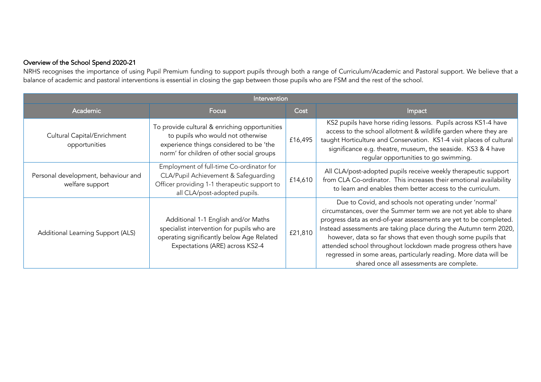### Overview of the School Spend 2020-21

NRHS recognises the importance of using Pupil Premium funding to support pupils through both a range of Curriculum/Academic and Pastoral support. We believe that a balance of academic and pastoral interventions is essential in closing the gap between those pupils who are FSM and the rest of the school.

| Intervention                                           |                                                                                                                                                                            |         |                                                                                                                                                                                                                                                                                                                                                                                                                                                                                                                        |  |  |
|--------------------------------------------------------|----------------------------------------------------------------------------------------------------------------------------------------------------------------------------|---------|------------------------------------------------------------------------------------------------------------------------------------------------------------------------------------------------------------------------------------------------------------------------------------------------------------------------------------------------------------------------------------------------------------------------------------------------------------------------------------------------------------------------|--|--|
| <b>Academic</b>                                        | <b>Focus</b>                                                                                                                                                               | Cost    | Impact                                                                                                                                                                                                                                                                                                                                                                                                                                                                                                                 |  |  |
| Cultural Capital/Enrichment<br>opportunities           | To provide cultural & enriching opportunities<br>to pupils who would not otherwise<br>experience things considered to be 'the<br>norm' for children of other social groups | £16,495 | KS2 pupils have horse riding lessons. Pupils across KS1-4 have<br>access to the school allotment & wildlife garden where they are<br>taught Horticulture and Conservation. KS1-4 visit places of cultural<br>significance e.g. theatre, museum, the seaside. KS3 & 4 have<br>regular opportunities to go swimming.                                                                                                                                                                                                     |  |  |
| Personal development, behaviour and<br>welfare support | Employment of full-time Co-ordinator for<br>CLA/Pupil Achievement & Safeguarding<br>Officer providing 1-1 therapeutic support to<br>all CLA/post-adopted pupils.           | £14,610 | All CLA/post-adopted pupils receive weekly therapeutic support<br>from CLA Co-ordinator. This increases their emotional availability<br>to learn and enables them better access to the curriculum.                                                                                                                                                                                                                                                                                                                     |  |  |
| Additional Learning Support (ALS)                      | Additional 1-1 English and/or Maths<br>specialist intervention for pupils who are<br>operating significantly below Age Related<br>Expectations (ARE) across KS2-4          | £21,810 | Due to Covid, and schools not operating under 'normal'<br>circumstances, over the Summer term we are not yet able to share<br>progress data as end-of-year assessments are yet to be completed.<br>Instead assessments are taking place during the Autumn term 2020,<br>however, data so far shows that even though some pupils that<br>attended school throughout lockdown made progress others have<br>regressed in some areas, particularly reading. More data will be<br>shared once all assessments are complete. |  |  |